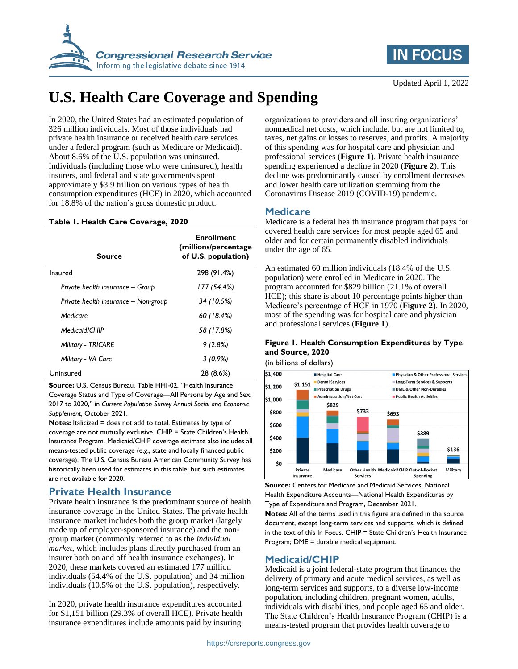



# **U.S. Health Care Coverage and Spending**

In 2020, the United States had an estimated population of 326 million individuals. Most of those individuals had private health insurance or received health care services under a federal program (such as Medicare or Medicaid). About 8.6% of the U.S. population was uninsured. Individuals (including those who were uninsured), health insurers, and federal and state governments spent approximately \$3.9 trillion on various types of health consumption expenditures (HCE) in 2020, which accounted for 18.8% of the nation's gross domestic product.

#### **Table 1. Health Care Coverage, 2020**

| Source                               | <b>Enrollment</b><br>(millions/percentage)<br>of U.S. population) |
|--------------------------------------|-------------------------------------------------------------------|
| Insured                              | 298 (91.4%)                                                       |
| Private health insurance - Group     | 177 (54.4%)                                                       |
| Private health insurance – Non-group | 34 (10.5%)                                                        |
| Medicare                             | 60 (18.4%)                                                        |
| Medicaid/CHIP                        | 58 (17.8%)                                                        |
| <b>Military - TRICARE</b>            | 9(2.8%)                                                           |
| Military - VA Care                   | $3(0.9\%)$                                                        |
| Uninsured                            | 28 (8.6%)                                                         |

**Source:** U.S. Census Bureau, Table HHI-02, "Health Insurance

Coverage Status and Type of Coverage—All Persons by Age and Sex: 2017 to 2020," in *Current Population Survey Annual Social and Economic Supplement*, October 2021.

**Notes:** Italicized = does not add to total. Estimates by type of coverage are not mutually exclusive. CHIP = State Children's Health Insurance Program. Medicaid/CHIP coverage estimate also includes all means-tested public coverage (e.g., state and locally financed public coverage). The U.S. Census Bureau American Community Survey has historically been used for estimates in this table, but such estimates are not available for 2020.

## **Private Health Insurance**

Private health insurance is the predominant source of health insurance coverage in the United States. The private health insurance market includes both the group market (largely made up of employer-sponsored insurance) and the nongroup market (commonly referred to as the *individual market*, which includes plans directly purchased from an insurer both on and off health insurance exchanges). In 2020, these markets covered an estimated 177 million individuals (54.4% of the U.S. population) and 34 million individuals (10.5% of the U.S. population), respectively.

In 2020, private health insurance expenditures accounted for \$1,151 billion (29.3% of overall HCE). Private health insurance expenditures include amounts paid by insuring

organizations to providers and all insuring organizations' nonmedical net costs, which include, but are not limited to, taxes, net gains or losses to reserves, and profits. A majority of this spending was for hospital care and physician and professional services (**[Figure 1](#page-0-0)**). Private health insurance spending experienced a decline in 2020 (**[Figure 2](#page-1-0)**). This decline was predominantly caused by enrollment decreases and lower health care utilization stemming from the Coronavirus Disease 2019 (COVID-19) pandemic.

#### **Medicare**

Medicare is a federal health insurance program that pays for covered health care services for most people aged 65 and older and for certain permanently disabled individuals under the age of 65.

An estimated 60 million individuals (18.4% of the U.S. population) were enrolled in Medicare in 2020. The program accounted for \$829 billion (21.1% of overall HCE); this share is about 10 percentage points higher than Medicare's percentage of HCE in 1970 (**[Figure 2](#page-1-0)**). In 2020, most of the spending was for hospital care and physician and professional services (**[Figure 1](#page-0-0)**).

## <span id="page-0-0"></span>**Figure 1. Health Consumption Expenditures by Type and Source, 2020**

(in billions of dollars)



**Source:** Centers for Medicare and Medicaid Services, National Health Expenditure Accounts—National Health Expenditures by Type of Expenditure and Program, December 2021.

**Notes:** All of the terms used in this figure are defined in the source document, except long-term services and supports, which is defined in the text of this In Focus. CHIP = State Children's Health Insurance Program; DME = durable medical equipment.

### **Medicaid/CHIP**

Medicaid is a joint federal-state program that finances the delivery of primary and acute medical services, as well as long-term services and supports, to a diverse low-income population, including children, pregnant women, adults, individuals with disabilities, and people aged 65 and older. The State Children's Health Insurance Program (CHIP) is a means-tested program that provides health coverage to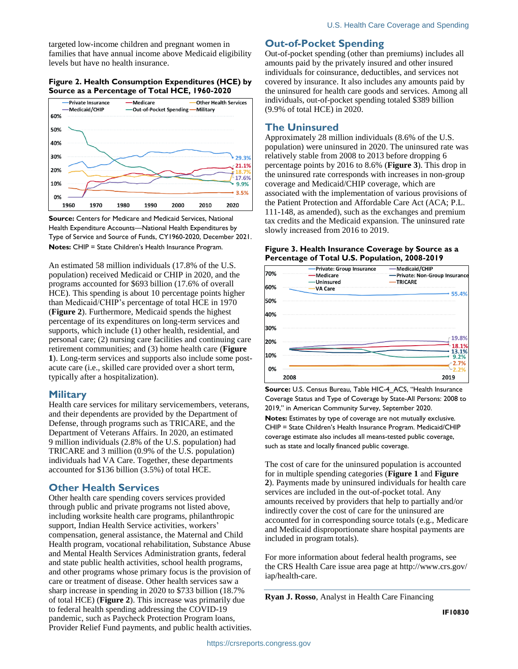targeted low-income children and pregnant women in families that have annual income above Medicaid eligibility levels but have no health insurance.

### <span id="page-1-0"></span>**Figure 2. Health Consumption Expenditures (HCE) by Source as a Percentage of Total HCE, 1960-2020**



**Source:** Centers for Medicare and Medicaid Services, National Health Expenditure Accounts—National Health Expenditures by Type of Service and Source of Funds, CY1960-2020, December 2021. **Notes:** CHIP = State Children's Health Insurance Program.

An estimated 58 million individuals (17.8% of the U.S. population) received Medicaid or CHIP in 2020, and the programs accounted for \$693 billion (17.6% of overall HCE). This spending is about 10 percentage points higher than Medicaid/CHIP's percentage of total HCE in 1970 (**[Figure 2](#page-1-0)**). Furthermore, Medicaid spends the highest percentage of its expenditures on long-term services and supports, which include (1) other health, residential, and personal care; (2) nursing care facilities and continuing care retirement communities; and (3) home health care (**[Figure](#page-0-0)  [1](#page-0-0)**). Long-term services and supports also include some postacute care (i.e., skilled care provided over a short term, typically after a hospitalization).

## **Military**

Health care services for military servicemembers, veterans, and their dependents are provided by the Department of Defense, through programs such as TRICARE, and the Department of Veterans Affairs. In 2020, an estimated 9 million individuals (2.8% of the U.S. population) had TRICARE and 3 million (0.9% of the U.S. population) individuals had VA Care. Together, these departments accounted for \$136 billion (3.5%) of total HCE.

## **Other Health Services**

Other health care spending covers services provided through public and private programs not listed above, including worksite health care programs, philanthropic support, Indian Health Service activities, workers' compensation, general assistance, the Maternal and Child Health program, vocational rehabilitation, Substance Abuse and Mental Health Services Administration grants, federal and state public health activities, school health programs, and other programs whose primary focus is the provision of care or treatment of disease. Other health services saw a sharp increase in spending in 2020 to \$733 billion (18.7% of total HCE) (**[Figure 2](#page-1-0)**). This increase was primarily due to federal health spending addressing the COVID-19 pandemic, such as Paycheck Protection Program loans, Provider Relief Fund payments, and public health activities.

## **Out-of-Pocket Spending**

Out-of-pocket spending (other than premiums) includes all amounts paid by the privately insured and other insured individuals for coinsurance, deductibles, and services not covered by insurance. It also includes any amounts paid by the uninsured for health care goods and services. Among all individuals, out-of-pocket spending totaled \$389 billion (9.9% of total HCE) in 2020.

## **The Uninsured**

Approximately 28 million individuals (8.6% of the U.S. population) were uninsured in 2020. The uninsured rate was relatively stable from 2008 to 2013 before dropping 6 percentage points by 2016 to 8.6% (**[Figure 3](#page-1-1)**). This drop in the uninsured rate corresponds with increases in non-group coverage and Medicaid/CHIP coverage, which are associated with the implementation of various provisions of the Patient Protection and Affordable Care Act (ACA; P.L. 111-148, as amended), such as the exchanges and premium tax credits and the Medicaid expansion. The uninsured rate slowly increased from 2016 to 2019.

#### <span id="page-1-1"></span>**Figure 3. Health Insurance Coverage by Source as a Percentage of Total U.S. Population, 2008-2019**



**Source:** U.S. Census Bureau, Table HIC-4\_ACS, "Health Insurance Coverage Status and Type of Coverage by State-All Persons: 2008 to 2019," in American Community Survey, September 2020. **Notes:** Estimates by type of coverage are not mutually exclusive. CHIP = State Children's Health Insurance Program. Medicaid/CHIP coverage estimate also includes all means-tested public coverage, such as state and locally financed public coverage.

The cost of care for the uninsured population is accounted for in multiple spending categories (**[Figure 1](#page-0-0)** and **[Figure](#page-1-0)  [2](#page-1-0)**). Payments made by uninsured individuals for health care services are included in the out-of-pocket total. Any amounts received by providers that help to partially and/or indirectly cover the cost of care for the uninsured are accounted for in corresponding source totals (e.g., Medicare and Medicaid disproportionate share hospital payments are included in program totals).

For more information about federal health programs, see the CRS Health Care issue area page at http://www.crs.gov/ iap/health-care.

**Ryan J. Rosso**, Analyst in Health Care Financing